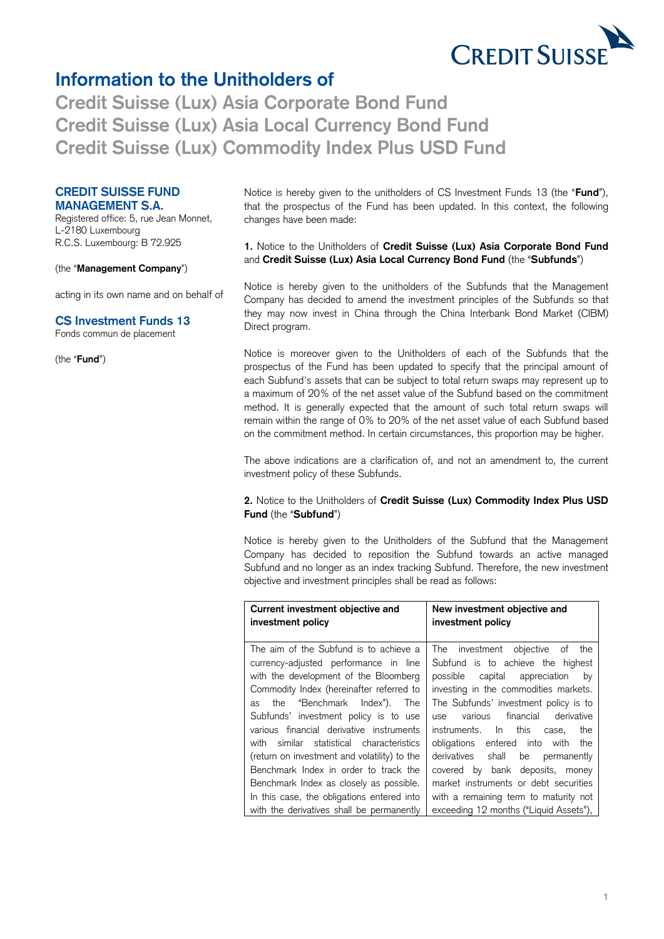

# **Information to the Unitholders of**

 **Credit Suisse (Lux) Asia Local Currency Bond Fund Credit Suisse (Lux) Asia Corporate Bond Fund Credit Suisse (Lux) Commodity Index Plus USD Fund** 

## **CREDIT SUISSE FUND MANAGEMENT S.A.**

 Registered office: 5, rue Jean Monnet, L-2180 Luxembourg R.C.S. Luxembourg: B 72.925

#### (the "**Management Company**")

acting in its own name and on behalf of

#### **CS Investment Funds 13**

Fonds commun de placement

(the "**Fund**")

 Notice is hereby given to the unitholders of CS Investment Funds 13 (the "**Fund**"), that the prospectus of the Fund has been updated. In this context, the following changes have been made:

### **1.** Notice to the Unitholders of **Credit Suisse (Lux) Asia Corporate Bond Fund**  and **Credit Suisse (Lux) Asia Local Currency Bond Fund** (the "**Subfunds**")

 Notice is hereby given to the unitholders of the Subfunds that the Management Company has decided to amend the investment principles of the Subfunds so that they may now invest in China through the China Interbank Bond Market (CIBM) Direct program.

 Notice is moreover given to the Unitholders of each of the Subfunds that the prospectus of the Fund has been updated to specify that the principal amount of each Subfund's assets that can be subject to total return swaps may represent up to a maximum of 20% of the net asset value of the Subfund based on the commitment method. It is generally expected that the amount of such total return swaps will remain within the range of 0% to 20% of the net asset value of each Subfund based on the commitment method. In certain circumstances, this proportion may be higher.

 The above indications are a clarification of, and not an amendment to, the current investment policy of these Subfunds.

#### **2.** Notice to the Unitholders of **Credit Suisse (Lux) Commodity Index Plus USD Fund** (the "**Subfund**")

 Notice is hereby given to the Unitholders of the Subfund that the Management Company has decided to reposition the Subfund towards an active managed Subfund and no longer as an index tracking Subfund. Therefore, the new investment objective and investment principles shall be read as follows:

| Current investment objective and<br>investment policy                                                                                                                                                                                                                                                                                                                                                                                                                                                                        | New investment objective and<br>investment policy                                                                                                                                                                                                                                                                                                                                                                                                                                 |
|------------------------------------------------------------------------------------------------------------------------------------------------------------------------------------------------------------------------------------------------------------------------------------------------------------------------------------------------------------------------------------------------------------------------------------------------------------------------------------------------------------------------------|-----------------------------------------------------------------------------------------------------------------------------------------------------------------------------------------------------------------------------------------------------------------------------------------------------------------------------------------------------------------------------------------------------------------------------------------------------------------------------------|
| The aim of the Subfund is to achieve a<br>currency-adjusted performance in line<br>with the development of the Bloomberg<br>Commodity Index (hereinafter referred to<br>the "Benchmark Index"). The<br>as<br>Subfunds' investment policy is to use<br>various financial derivative instruments<br>with similar statistical characteristics<br>(return on investment and volatility) to the<br>Benchmark Index in order to track the<br>Benchmark Index as closely as possible.<br>In this case, the obligations entered into | The investment objective of the<br>Subfund is to achieve the highest<br>possible capital appreciation<br>by<br>investing in the commodities markets.<br>The Subfunds' investment policy is to<br>various financial derivative<br><b>use</b><br>instruments. In this case,<br>the<br>obligations entered into with the<br>derivatives shall be<br>permanently<br>covered by bank deposits, money<br>market instruments or debt securities<br>with a remaining term to maturity not |
| with the derivatives shall be permanently                                                                                                                                                                                                                                                                                                                                                                                                                                                                                    | exceeding 12 months ("Liquid Assets"),                                                                                                                                                                                                                                                                                                                                                                                                                                            |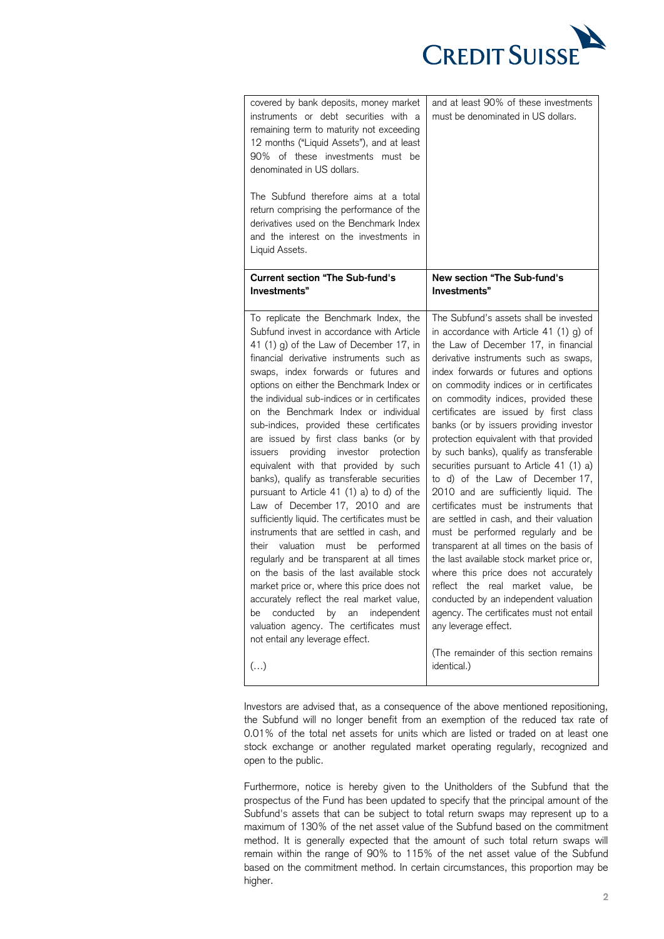

| covered by bank deposits, money market<br>instruments or debt securities with a<br>remaining term to maturity not exceeding<br>12 months ("Liquid Assets"), and at least<br>90% of these investments must be<br>denominated in US dollars.<br>The Subfund therefore aims at a total<br>return comprising the performance of the<br>derivatives used on the Benchmark Index<br>and the interest on the investments in<br>Liquid Assets.                                                                                                                                                                                                                                                                                                                                                                                                                                                                                                                                                                                                                                                                                                                       | and at least 90% of these investments<br>must be denominated in US dollars.                                                                                                                                                                                                                                                                                                                                                                                                                                                                                                                                                                                                                                                                                                                                                                                                                                                                                                                                                                                                      |
|--------------------------------------------------------------------------------------------------------------------------------------------------------------------------------------------------------------------------------------------------------------------------------------------------------------------------------------------------------------------------------------------------------------------------------------------------------------------------------------------------------------------------------------------------------------------------------------------------------------------------------------------------------------------------------------------------------------------------------------------------------------------------------------------------------------------------------------------------------------------------------------------------------------------------------------------------------------------------------------------------------------------------------------------------------------------------------------------------------------------------------------------------------------|----------------------------------------------------------------------------------------------------------------------------------------------------------------------------------------------------------------------------------------------------------------------------------------------------------------------------------------------------------------------------------------------------------------------------------------------------------------------------------------------------------------------------------------------------------------------------------------------------------------------------------------------------------------------------------------------------------------------------------------------------------------------------------------------------------------------------------------------------------------------------------------------------------------------------------------------------------------------------------------------------------------------------------------------------------------------------------|
| <b>Current section "The Sub-fund's</b><br>Investments"                                                                                                                                                                                                                                                                                                                                                                                                                                                                                                                                                                                                                                                                                                                                                                                                                                                                                                                                                                                                                                                                                                       | New section "The Sub-fund's<br>Investments"                                                                                                                                                                                                                                                                                                                                                                                                                                                                                                                                                                                                                                                                                                                                                                                                                                                                                                                                                                                                                                      |
| To replicate the Benchmark Index, the<br>Subfund invest in accordance with Article<br>41 (1) g) of the Law of December 17, in<br>financial derivative instruments such as<br>swaps, index forwards or futures and<br>options on either the Benchmark Index or<br>the individual sub-indices or in certificates<br>on the Benchmark Index or individual<br>sub-indices, provided these certificates<br>are issued by first class banks (or by<br>providing investor protection<br><i>issuers</i><br>equivalent with that provided by such<br>banks), qualify as transferable securities<br>pursuant to Article 41 (1) a) to d) of the<br>Law of December 17, 2010 and are<br>sufficiently liquid. The certificates must be<br>instruments that are settled in cash, and<br>valuation<br>must be performed<br>their<br>regularly and be transparent at all times<br>on the basis of the last available stock<br>market price or, where this price does not<br>accurately reflect the real market value,<br>conducted<br>by<br>independent<br>be<br>an<br>valuation agency. The certificates must<br>not entail any leverage effect.<br>$\left( \ldots \right)$ | The Subfund's assets shall be invested<br>in accordance with Article 41 (1) g) of<br>the Law of December 17, in financial<br>derivative instruments such as swaps,<br>index forwards or futures and options<br>on commodity indices or in certificates<br>on commodity indices, provided these<br>certificates are issued by first class<br>banks (or by issuers providing investor<br>protection equivalent with that provided<br>by such banks), qualify as transferable<br>securities pursuant to Article 41 (1) a)<br>to d) of the Law of December 17,<br>2010 and are sufficiently liquid. The<br>certificates must be instruments that<br>are settled in cash, and their valuation<br>must be performed regularly and be<br>transparent at all times on the basis of<br>the last available stock market price or,<br>where this price does not accurately<br>reflect<br>the real market value,<br>be<br>conducted by an independent valuation<br>agency. The certificates must not entail<br>any leverage effect.<br>(The remainder of this section remains<br>identical.) |

 Investors are advised that, as a consequence of the above mentioned repositioning, the Subfund will no longer benefit from an exemption of the reduced tax rate of 0.01% of the total net assets for units which are listed or traded on at least one stock exchange or another regulated market operating regularly, recognized and open to the public.

 Furthermore, notice is hereby given to the Unitholders of the Subfund that the prospectus of the Fund has been updated to specify that the principal amount of the Subfund's assets that can be subject to total return swaps may represent up to a maximum of 130% of the net asset value of the Subfund based on the commitment method. It is generally expected that the amount of such total return swaps will remain within the range of 90% to 115% of the net asset value of the Subfund based on the commitment method. In certain circumstances, this proportion may be higher.